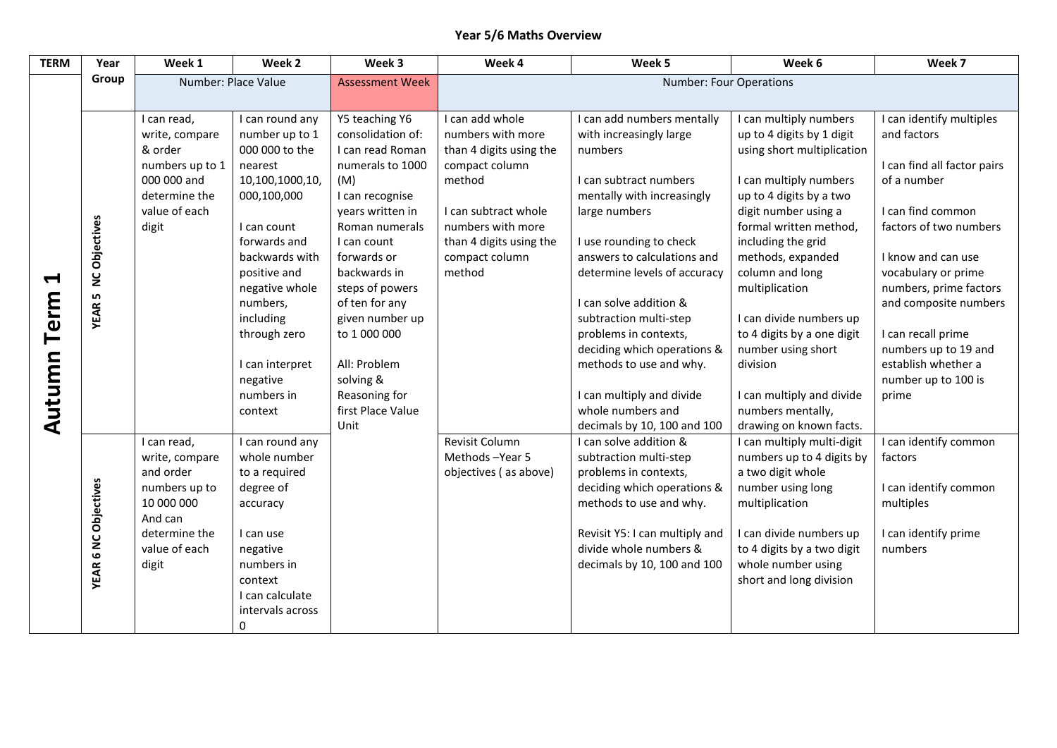## **Year 5/6 Maths Overview**

| <b>TERM</b> | Year                   | Week 1                      | Week 2              | Week 3                    | Week 4                  | Week 5                                                | Week 6                                                | Week 7                      |
|-------------|------------------------|-----------------------------|---------------------|---------------------------|-------------------------|-------------------------------------------------------|-------------------------------------------------------|-----------------------------|
|             | Group                  |                             | Number: Place Value | <b>Assessment Week</b>    |                         | <b>Number: Four Operations</b>                        |                                                       |                             |
|             |                        |                             |                     |                           |                         |                                                       |                                                       |                             |
|             |                        | I can read,                 | I can round any     | Y5 teaching Y6            | I can add whole         | I can add numbers mentally                            | I can multiply numbers                                | I can identify multiples    |
|             |                        | write, compare              | number up to 1      | consolidation of:         | numbers with more       | with increasingly large                               | up to 4 digits by 1 digit                             | and factors                 |
|             |                        | & order                     | 000 000 to the      | I can read Roman          | than 4 digits using the | numbers                                               | using short multiplication                            |                             |
|             |                        | numbers up to 1             | nearest             | numerals to 1000          | compact column          |                                                       |                                                       | I can find all factor pairs |
|             |                        | 000 000 and                 | 10,100,1000,10,     | (M)                       | method                  | I can subtract numbers                                | I can multiply numbers                                | of a number                 |
|             |                        | determine the               | 000,100,000         | I can recognise           |                         | mentally with increasingly                            | up to 4 digits by a two                               |                             |
|             |                        | value of each               |                     | years written in          | I can subtract whole    | large numbers                                         | digit number using a                                  | I can find common           |
|             |                        | digit                       | I can count         | Roman numerals            | numbers with more       |                                                       | formal written method,                                | factors of two numbers      |
|             |                        |                             | forwards and        | I can count               | than 4 digits using the | I use rounding to check                               | including the grid                                    |                             |
|             |                        |                             | backwards with      | forwards or               | compact column          | answers to calculations and                           | methods, expanded                                     | I know and can use          |
| H           | <b>NC Objectives</b>   |                             | positive and        | backwards in              | method                  | determine levels of accuracy                          | column and long                                       | vocabulary or prime         |
|             | LŊ,                    |                             | negative whole      | steps of powers           |                         |                                                       | multiplication                                        | numbers, prime factors      |
| Term        | <b>YEAR</b>            |                             | numbers,            | of ten for any            |                         | I can solve addition &                                |                                                       | and composite numbers       |
|             |                        |                             | including           | given number up           |                         | subtraction multi-step                                | I can divide numbers up                               |                             |
|             |                        |                             | through zero        | to 1 000 000              |                         | problems in contexts,                                 | to 4 digits by a one digit                            | I can recall prime          |
|             |                        |                             |                     |                           |                         | deciding which operations &                           | number using short                                    | numbers up to 19 and        |
|             |                        |                             | I can interpret     | All: Problem              |                         | methods to use and why.                               | division                                              | establish whether a         |
|             |                        |                             | negative            | solving &                 |                         |                                                       |                                                       | number up to 100 is         |
|             |                        |                             | numbers in          | Reasoning for             |                         | I can multiply and divide                             | I can multiply and divide                             | prime                       |
| Autumn      |                        |                             | context             | first Place Value<br>Unit |                         | whole numbers and                                     | numbers mentally,                                     |                             |
|             |                        |                             | I can round any     |                           | Revisit Column          | decimals by 10, 100 and 100<br>I can solve addition & | drawing on known facts.<br>I can multiply multi-digit | can identify common         |
|             |                        | I can read,                 | whole number        |                           | Methods-Year 5          | subtraction multi-step                                | numbers up to 4 digits by                             |                             |
|             |                        | write, compare<br>and order | to a required       |                           | objectives (as above)   | problems in contexts,                                 | a two digit whole                                     | factors                     |
|             |                        | numbers up to               | degree of           |                           |                         | deciding which operations &                           | number using long                                     | I can identify common       |
|             | <b>6 NC Objectives</b> | 10 000 000                  | accuracy            |                           |                         | methods to use and why.                               | multiplication                                        | multiples                   |
|             |                        | And can                     |                     |                           |                         |                                                       |                                                       |                             |
|             |                        | determine the               | I can use           |                           |                         | Revisit Y5: I can multiply and                        | I can divide numbers up                               | I can identify prime        |
|             |                        | value of each               | negative            |                           |                         | divide whole numbers &                                | to 4 digits by a two digit                            | numbers                     |
|             |                        | digit                       | numbers in          |                           |                         | decimals by 10, 100 and 100                           | whole number using                                    |                             |
|             | <b>YEAR</b>            |                             | context             |                           |                         |                                                       | short and long division                               |                             |
|             |                        |                             | I can calculate     |                           |                         |                                                       |                                                       |                             |
|             |                        |                             | intervals across    |                           |                         |                                                       |                                                       |                             |
|             |                        |                             | $\Omega$            |                           |                         |                                                       |                                                       |                             |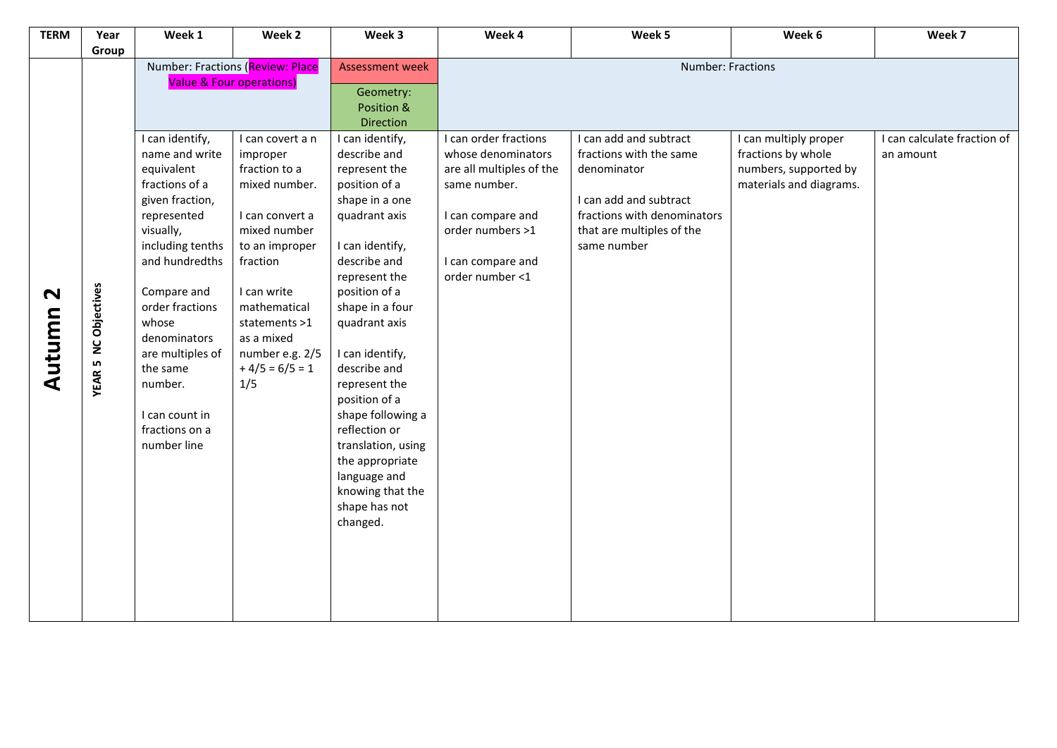| <b>TERM</b>                     | Year                                  | Week 1                                                                                                                                                                                                                                                                                                          | Week 2                                                                                                                                                                                                                                      | Week 3                                                                                                                                                                                                                                                                                                                                                                                                                             | Week 4                                                                                                                                                                   | Week 5                                                                                                                                                                | Week 6                                                                                          | Week 7                                   |  |
|---------------------------------|---------------------------------------|-----------------------------------------------------------------------------------------------------------------------------------------------------------------------------------------------------------------------------------------------------------------------------------------------------------------|---------------------------------------------------------------------------------------------------------------------------------------------------------------------------------------------------------------------------------------------|------------------------------------------------------------------------------------------------------------------------------------------------------------------------------------------------------------------------------------------------------------------------------------------------------------------------------------------------------------------------------------------------------------------------------------|--------------------------------------------------------------------------------------------------------------------------------------------------------------------------|-----------------------------------------------------------------------------------------------------------------------------------------------------------------------|-------------------------------------------------------------------------------------------------|------------------------------------------|--|
|                                 | Group                                 |                                                                                                                                                                                                                                                                                                                 |                                                                                                                                                                                                                                             |                                                                                                                                                                                                                                                                                                                                                                                                                                    |                                                                                                                                                                          |                                                                                                                                                                       |                                                                                                 |                                          |  |
|                                 |                                       | Number: Fractions (Review: Place                                                                                                                                                                                                                                                                                |                                                                                                                                                                                                                                             | <b>Assessment week</b>                                                                                                                                                                                                                                                                                                                                                                                                             | Number: Fractions                                                                                                                                                        |                                                                                                                                                                       |                                                                                                 |                                          |  |
|                                 |                                       | <b>Value &amp; Four operations)</b>                                                                                                                                                                                                                                                                             |                                                                                                                                                                                                                                             | Geometry:<br>Position &<br><b>Direction</b>                                                                                                                                                                                                                                                                                                                                                                                        |                                                                                                                                                                          |                                                                                                                                                                       |                                                                                                 |                                          |  |
| $\mathbf{\mathsf{N}}$<br>Autumn | <b>NC Objectives</b><br><b>YEAR 5</b> | I can identify,<br>name and write<br>equivalent<br>fractions of a<br>given fraction,<br>represented<br>visually,<br>including tenths<br>and hundredths<br>Compare and<br>order fractions<br>whose<br>denominators<br>are multiples of<br>the same<br>number.<br>I can count in<br>fractions on a<br>number line | I can covert a n<br>improper<br>fraction to a<br>mixed number.<br>I can convert a<br>mixed number<br>to an improper<br>fraction<br>I can write<br>mathematical<br>statements >1<br>as a mixed<br>number e.g. 2/5<br>$+4/5 = 6/5 = 1$<br>1/5 | I can identify,<br>describe and<br>represent the<br>position of a<br>shape in a one<br>quadrant axis<br>I can identify,<br>describe and<br>represent the<br>position of a<br>shape in a four<br>quadrant axis<br>I can identify,<br>describe and<br>represent the<br>position of a<br>shape following a<br>reflection or<br>translation, using<br>the appropriate<br>language and<br>knowing that the<br>shape has not<br>changed. | I can order fractions<br>whose denominators<br>are all multiples of the<br>same number.<br>I can compare and<br>order numbers >1<br>I can compare and<br>order number <1 | I can add and subtract<br>fractions with the same<br>denominator<br>I can add and subtract<br>fractions with denominators<br>that are multiples of the<br>same number | I can multiply proper<br>fractions by whole<br>numbers, supported by<br>materials and diagrams. | I can calculate fraction of<br>an amount |  |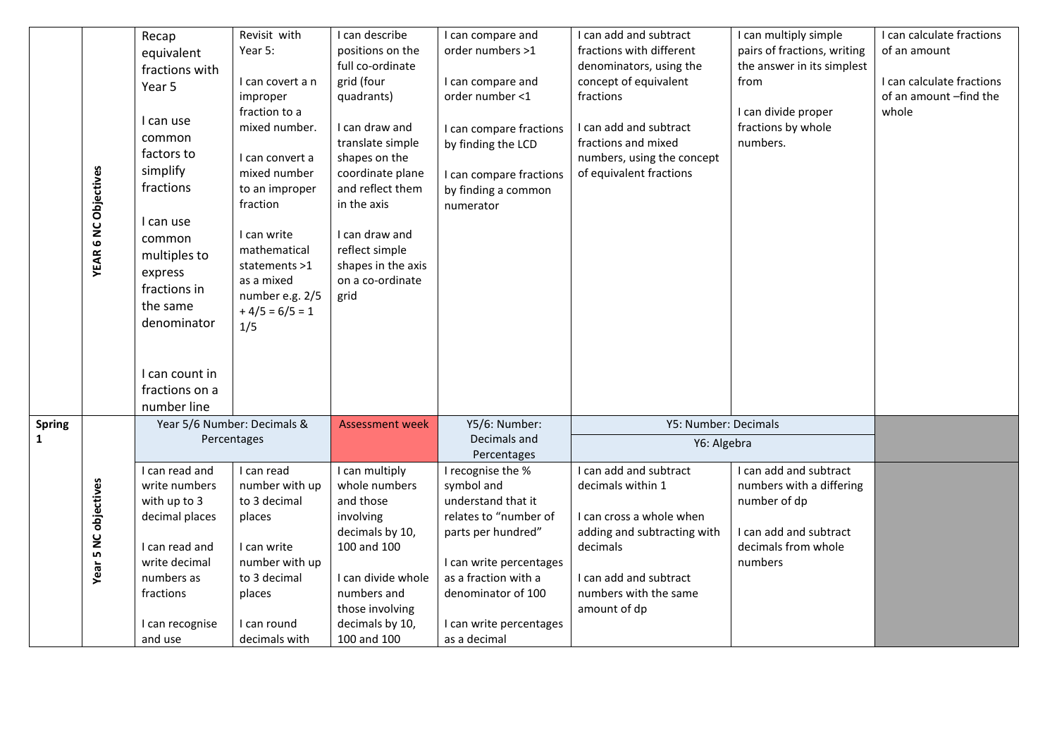|              |                             | Recap                       | Revisit with     | I can describe         | I can compare and                | I can add and subtract      | I can multiply simple       | I can calculate fractions |
|--------------|-----------------------------|-----------------------------|------------------|------------------------|----------------------------------|-----------------------------|-----------------------------|---------------------------|
|              |                             | equivalent                  | Year 5:          | positions on the       | order numbers >1                 | fractions with different    | pairs of fractions, writing | of an amount              |
|              |                             | fractions with              |                  | full co-ordinate       |                                  | denominators, using the     | the answer in its simplest  |                           |
|              |                             | Year 5                      | I can covert a n | grid (four             | I can compare and                | concept of equivalent       | from                        | I can calculate fractions |
|              |                             |                             | improper         | quadrants)             | order number <1                  | fractions                   |                             | of an amount -find the    |
|              |                             |                             | fraction to a    |                        |                                  |                             | I can divide proper         | whole                     |
|              |                             | I can use                   | mixed number.    | I can draw and         | I can compare fractions          | I can add and subtract      | fractions by whole          |                           |
|              |                             | common                      |                  | translate simple       | by finding the LCD               | fractions and mixed         | numbers.                    |                           |
|              |                             | factors to                  | I can convert a  | shapes on the          |                                  | numbers, using the concept  |                             |                           |
|              |                             | simplify                    | mixed number     | coordinate plane       | I can compare fractions          | of equivalent fractions     |                             |                           |
|              |                             | fractions                   | to an improper   | and reflect them       | by finding a common              |                             |                             |                           |
|              |                             |                             | fraction         | in the axis            | numerator                        |                             |                             |                           |
|              |                             | I can use                   |                  |                        |                                  |                             |                             |                           |
|              |                             | common                      | I can write      | I can draw and         |                                  |                             |                             |                           |
|              |                             | multiples to                | mathematical     | reflect simple         |                                  |                             |                             |                           |
|              | <b>YEAR 6 NC Objectives</b> | express                     | statements >1    | shapes in the axis     |                                  |                             |                             |                           |
|              |                             | fractions in                | as a mixed       | on a co-ordinate       |                                  |                             |                             |                           |
|              |                             | the same                    | number e.g. 2/5  | grid                   |                                  |                             |                             |                           |
|              |                             |                             | $+4/5 = 6/5 = 1$ |                        |                                  |                             |                             |                           |
|              |                             | denominator                 | 1/5              |                        |                                  |                             |                             |                           |
|              |                             |                             |                  |                        |                                  |                             |                             |                           |
|              |                             |                             |                  |                        |                                  |                             |                             |                           |
|              |                             | I can count in              |                  |                        |                                  |                             |                             |                           |
|              |                             | fractions on a              |                  |                        |                                  |                             |                             |                           |
|              |                             | number line                 |                  |                        |                                  |                             |                             |                           |
| Spring       |                             | Year 5/6 Number: Decimals & |                  | <b>Assessment week</b> | Y5/6: Number:                    | Y5: Number: Decimals        |                             |                           |
| $\mathbf{1}$ |                             | Percentages                 |                  |                        | Decimals and                     | Y6: Algebra                 |                             |                           |
|              |                             | I can read and              | I can read       | I can multiply         | Percentages<br>I recognise the % | I can add and subtract      | I can add and subtract      |                           |
|              |                             | write numbers               | number with up   | whole numbers          | symbol and                       | decimals within 1           | numbers with a differing    |                           |
|              |                             | with up to 3                | to 3 decimal     | and those              | understand that it               |                             | number of dp                |                           |
|              |                             | decimal places              | places           | involving              | relates to "number of            | I can cross a whole when    |                             |                           |
|              |                             |                             |                  | decimals by 10,        | parts per hundred"               | adding and subtracting with | I can add and subtract      |                           |
|              |                             | I can read and              | I can write      | 100 and 100            |                                  | decimals                    | decimals from whole         |                           |
|              |                             | write decimal               | number with up   |                        | I can write percentages          |                             | numbers                     |                           |
|              | Year 5 NC objectives        | numbers as                  | to 3 decimal     | I can divide whole     | as a fraction with a             | I can add and subtract      |                             |                           |
|              |                             | fractions                   | places           | numbers and            | denominator of 100               | numbers with the same       |                             |                           |
|              |                             |                             |                  | those involving        |                                  | amount of dp                |                             |                           |
|              |                             | I can recognise             | I can round      | decimals by 10,        | I can write percentages          |                             |                             |                           |
|              |                             | and use                     | decimals with    | 100 and 100            | as a decimal                     |                             |                             |                           |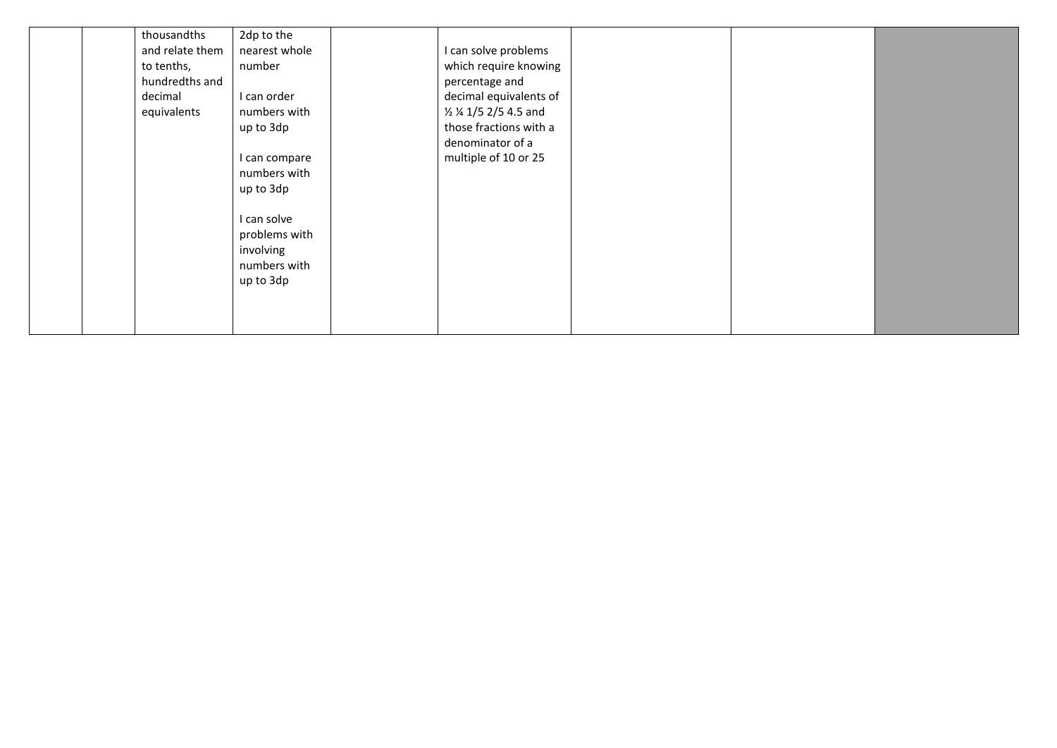| thousandths<br>and relate them<br>to tenths,<br>hundredths and<br>decimal<br>equivalents | 2dp to the<br>nearest whole<br>number<br>I can order<br>numbers with<br>up to 3dp<br>I can compare<br>numbers with<br>up to 3dp<br>can solve<br>problems with<br>involving<br>numbers with<br>up to 3dp | can solve problems<br>which require knowing<br>percentage and<br>decimal equivalents of<br>1/2 1/4 1/5 2/5 4.5 and<br>those fractions with a<br>denominator of a<br>multiple of 10 or 25 |  |  |
|------------------------------------------------------------------------------------------|---------------------------------------------------------------------------------------------------------------------------------------------------------------------------------------------------------|------------------------------------------------------------------------------------------------------------------------------------------------------------------------------------------|--|--|
|                                                                                          |                                                                                                                                                                                                         |                                                                                                                                                                                          |  |  |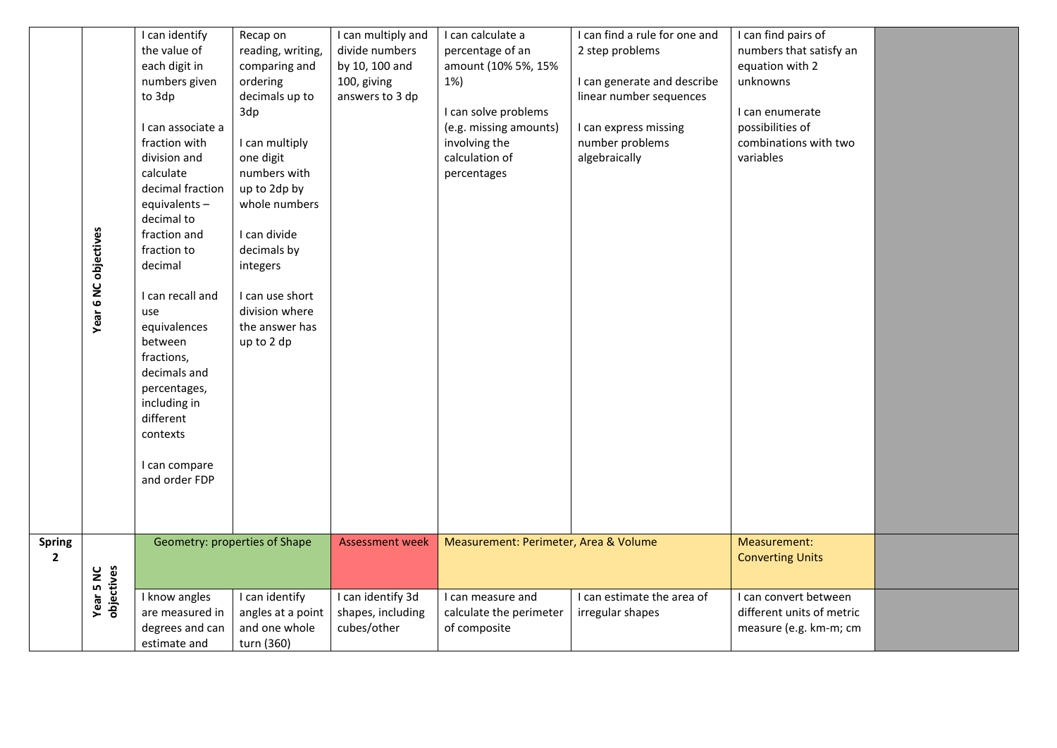|                                 | Year 6 NC objectives           | I can identify<br>the value of<br>each digit in<br>numbers given<br>to 3dp<br>I can associate a<br>fraction with<br>division and<br>calculate<br>decimal fraction<br>equivalents-<br>decimal to<br>fraction and<br>fraction to<br>decimal<br>I can recall and<br>use<br>equivalences<br>between<br>fractions,<br>decimals and<br>percentages,<br>including in<br>different | Recap on<br>reading, writing,<br>comparing and<br>ordering<br>decimals up to<br>3dp<br>I can multiply<br>one digit<br>numbers with<br>up to 2dp by<br>whole numbers<br>I can divide<br>decimals by<br>integers<br>I can use short<br>division where<br>the answer has<br>up to 2 dp | I can multiply and<br>divide numbers<br>by 10, 100 and<br>100, giving<br>answers to 3 dp | I can calculate a<br>percentage of an<br>amount (10% 5%, 15%<br>1%)<br>I can solve problems<br>(e.g. missing amounts)<br>involving the<br>calculation of<br>percentages | I can find a rule for one and<br>2 step problems<br>I can generate and describe<br>linear number sequences<br>I can express missing<br>number problems<br>algebraically | I can find pairs of<br>numbers that satisfy an<br>equation with 2<br>unknowns<br>I can enumerate<br>possibilities of<br>combinations with two<br>variables |  |
|---------------------------------|--------------------------------|----------------------------------------------------------------------------------------------------------------------------------------------------------------------------------------------------------------------------------------------------------------------------------------------------------------------------------------------------------------------------|-------------------------------------------------------------------------------------------------------------------------------------------------------------------------------------------------------------------------------------------------------------------------------------|------------------------------------------------------------------------------------------|-------------------------------------------------------------------------------------------------------------------------------------------------------------------------|-------------------------------------------------------------------------------------------------------------------------------------------------------------------------|------------------------------------------------------------------------------------------------------------------------------------------------------------|--|
|                                 |                                | contexts<br>I can compare<br>and order FDP                                                                                                                                                                                                                                                                                                                                 |                                                                                                                                                                                                                                                                                     |                                                                                          |                                                                                                                                                                         |                                                                                                                                                                         |                                                                                                                                                            |  |
| <b>Spring</b><br>$\overline{2}$ |                                |                                                                                                                                                                                                                                                                                                                                                                            | Geometry: properties of Shape                                                                                                                                                                                                                                                       | <b>Assessment week</b>                                                                   | Measurement: Perimeter, Area & Volume                                                                                                                                   |                                                                                                                                                                         | Measurement:<br><b>Converting Units</b>                                                                                                                    |  |
|                                 | <b>Year 5 NC</b><br>objectives | I know angles<br>are measured in<br>degrees and can<br>estimate and                                                                                                                                                                                                                                                                                                        | I can identify<br>angles at a point<br>and one whole<br>turn (360)                                                                                                                                                                                                                  | I can identify 3d<br>shapes, including<br>cubes/other                                    | I can measure and<br>calculate the perimeter<br>of composite                                                                                                            | I can estimate the area of<br>irregular shapes                                                                                                                          | I can convert between<br>different units of metric<br>measure (e.g. km-m; cm                                                                               |  |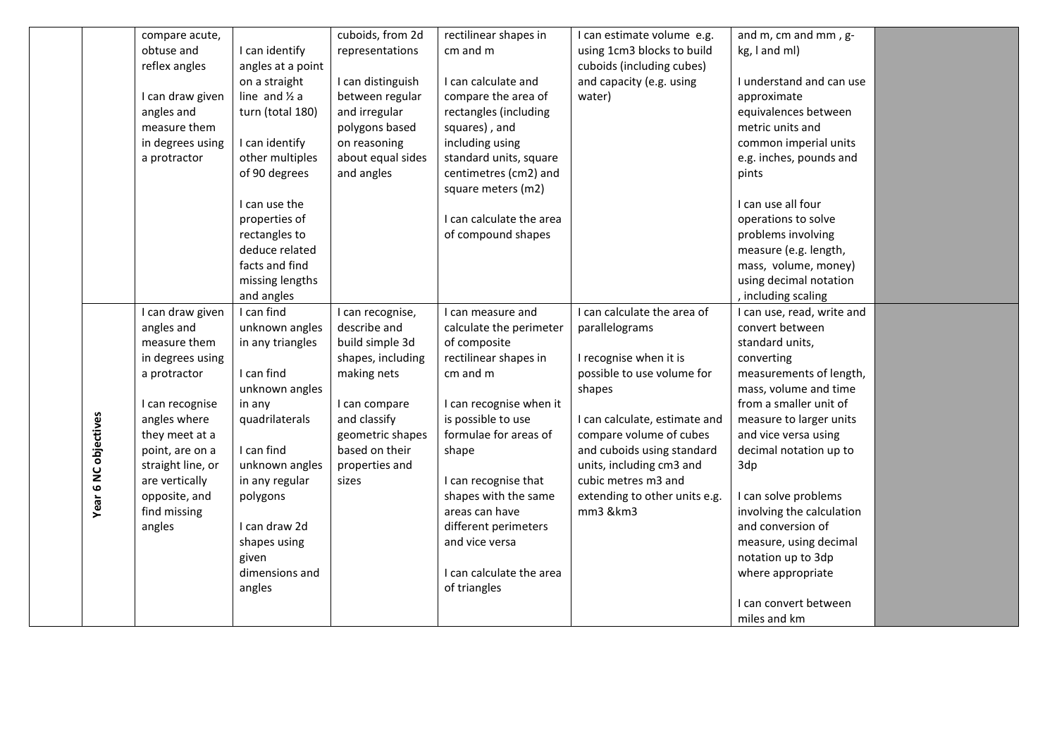|                      | compare acute,    |                          | cuboids, from 2d  | rectilinear shapes in    | I can estimate volume e.g.    | and m, cm and mm, g-       |  |
|----------------------|-------------------|--------------------------|-------------------|--------------------------|-------------------------------|----------------------------|--|
|                      | obtuse and        | I can identify           | representations   | cm and m                 | using 1cm3 blocks to build    | kg, I and ml)              |  |
|                      | reflex angles     | angles at a point        |                   |                          | cuboids (including cubes)     |                            |  |
|                      |                   | on a straight            | I can distinguish | I can calculate and      | and capacity (e.g. using      | I understand and can use   |  |
|                      | I can draw given  | line and $\frac{1}{2}$ a | between regular   | compare the area of      | water)                        | approximate                |  |
|                      | angles and        | turn (total 180)         | and irregular     | rectangles (including    |                               | equivalences between       |  |
|                      | measure them      |                          | polygons based    | squares), and            |                               | metric units and           |  |
|                      | in degrees using  | I can identify           | on reasoning      | including using          |                               | common imperial units      |  |
|                      | a protractor      | other multiples          | about equal sides | standard units, square   |                               | e.g. inches, pounds and    |  |
|                      |                   | of 90 degrees            | and angles        | centimetres (cm2) and    |                               | pints                      |  |
|                      |                   |                          |                   | square meters (m2)       |                               |                            |  |
|                      |                   | I can use the            |                   |                          |                               | I can use all four         |  |
|                      |                   | properties of            |                   | I can calculate the area |                               | operations to solve        |  |
|                      |                   | rectangles to            |                   | of compound shapes       |                               | problems involving         |  |
|                      |                   | deduce related           |                   |                          |                               | measure (e.g. length,      |  |
|                      |                   | facts and find           |                   |                          |                               | mass, volume, money)       |  |
|                      |                   | missing lengths          |                   |                          |                               | using decimal notation     |  |
|                      |                   | and angles               |                   |                          |                               | , including scaling        |  |
|                      | I can draw given  | I can find               | I can recognise,  | I can measure and        | I can calculate the area of   | I can use, read, write and |  |
|                      | angles and        | unknown angles           | describe and      | calculate the perimeter  | parallelograms                | convert between            |  |
|                      | measure them      | in any triangles         | build simple 3d   | of composite             |                               | standard units,            |  |
|                      | in degrees using  |                          | shapes, including | rectilinear shapes in    | I recognise when it is        | converting                 |  |
|                      | a protractor      | I can find               | making nets       | cm and m                 | possible to use volume for    | measurements of length,    |  |
|                      |                   | unknown angles           |                   |                          | shapes                        | mass, volume and time      |  |
|                      | I can recognise   | in any                   | I can compare     | I can recognise when it  |                               | from a smaller unit of     |  |
|                      | angles where      | quadrilaterals           | and classify      | is possible to use       | I can calculate, estimate and | measure to larger units    |  |
|                      | they meet at a    |                          | geometric shapes  | formulae for areas of    | compare volume of cubes       | and vice versa using       |  |
| Year 6 NC objectives | point, are on a   | I can find               | based on their    | shape                    | and cuboids using standard    | decimal notation up to     |  |
|                      | straight line, or | unknown angles           | properties and    |                          | units, including cm3 and      | 3dp                        |  |
|                      | are vertically    | in any regular           | sizes             | I can recognise that     | cubic metres m3 and           |                            |  |
|                      | opposite, and     | polygons                 |                   | shapes with the same     | extending to other units e.g. | I can solve problems       |  |
|                      | find missing      |                          |                   | areas can have           | mm3 &km3                      | involving the calculation  |  |
|                      | angles            | I can draw 2d            |                   | different perimeters     |                               | and conversion of          |  |
|                      |                   | shapes using             |                   | and vice versa           |                               | measure, using decimal     |  |
|                      |                   | given                    |                   |                          |                               | notation up to 3dp         |  |
|                      |                   | dimensions and           |                   | I can calculate the area |                               |                            |  |
|                      |                   | angles                   |                   | of triangles             |                               | where appropriate          |  |
|                      |                   |                          |                   |                          |                               | I can convert between      |  |
|                      |                   |                          |                   |                          |                               |                            |  |
|                      |                   |                          |                   |                          |                               | miles and km               |  |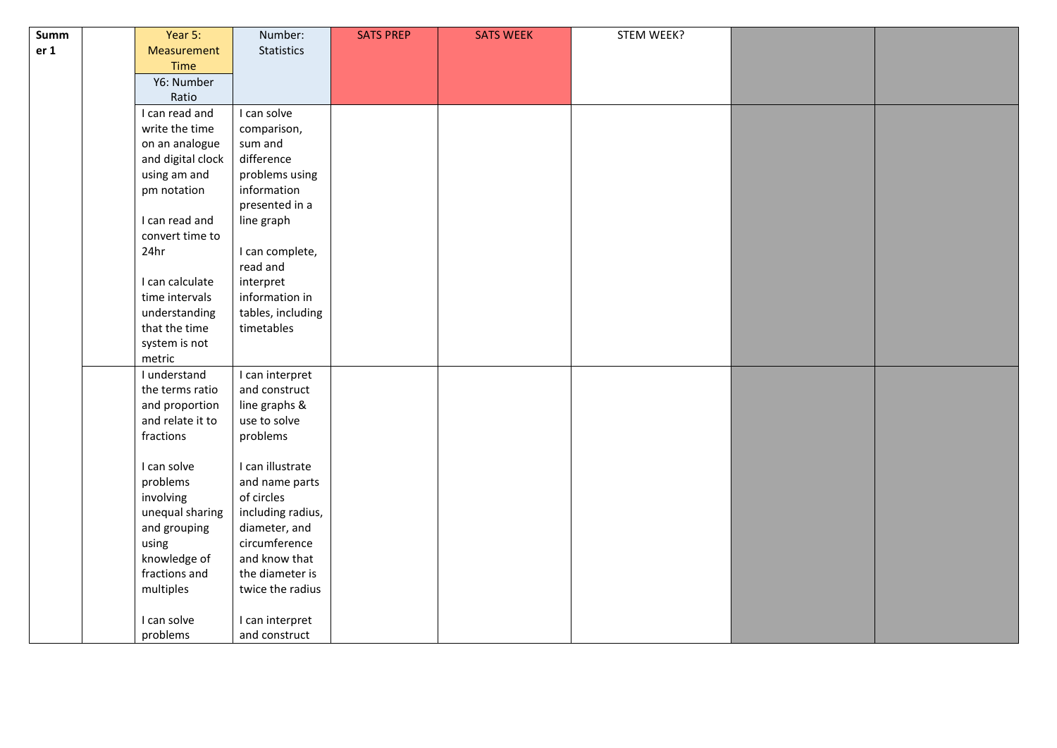| Summ            | Year 5:           | Number:           | <b>SATS PREP</b> | <b>SATS WEEK</b> | STEM WEEK? |  |
|-----------------|-------------------|-------------------|------------------|------------------|------------|--|
| er <sub>1</sub> | Measurement       | Statistics        |                  |                  |            |  |
|                 | Time              |                   |                  |                  |            |  |
|                 | Y6: Number        |                   |                  |                  |            |  |
|                 | Ratio             |                   |                  |                  |            |  |
|                 | I can read and    | I can solve       |                  |                  |            |  |
|                 | write the time    | comparison,       |                  |                  |            |  |
|                 | on an analogue    | sum and           |                  |                  |            |  |
|                 | and digital clock | difference        |                  |                  |            |  |
|                 | using am and      | problems using    |                  |                  |            |  |
|                 | pm notation       | information       |                  |                  |            |  |
|                 |                   | presented in a    |                  |                  |            |  |
|                 | I can read and    | line graph        |                  |                  |            |  |
|                 | convert time to   |                   |                  |                  |            |  |
|                 | 24hr              | I can complete,   |                  |                  |            |  |
|                 |                   | read and          |                  |                  |            |  |
|                 | I can calculate   | interpret         |                  |                  |            |  |
|                 | time intervals    | information in    |                  |                  |            |  |
|                 | understanding     | tables, including |                  |                  |            |  |
|                 | that the time     | timetables        |                  |                  |            |  |
|                 | system is not     |                   |                  |                  |            |  |
|                 | metric            |                   |                  |                  |            |  |
|                 | I understand      | I can interpret   |                  |                  |            |  |
|                 | the terms ratio   | and construct     |                  |                  |            |  |
|                 | and proportion    | line graphs &     |                  |                  |            |  |
|                 | and relate it to  | use to solve      |                  |                  |            |  |
|                 | fractions         | problems          |                  |                  |            |  |
|                 |                   |                   |                  |                  |            |  |
|                 | I can solve       | I can illustrate  |                  |                  |            |  |
|                 | problems          | and name parts    |                  |                  |            |  |
|                 | involving         | of circles        |                  |                  |            |  |
|                 | unequal sharing   | including radius, |                  |                  |            |  |
|                 | and grouping      | diameter, and     |                  |                  |            |  |
|                 | using             | circumference     |                  |                  |            |  |
|                 | knowledge of      | and know that     |                  |                  |            |  |
|                 | fractions and     | the diameter is   |                  |                  |            |  |
|                 | multiples         | twice the radius  |                  |                  |            |  |
|                 | I can solve       |                   |                  |                  |            |  |
|                 |                   | I can interpret   |                  |                  |            |  |
|                 | problems          | and construct     |                  |                  |            |  |